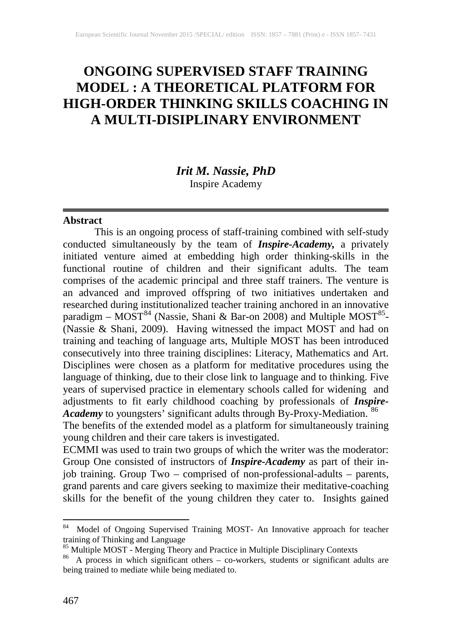# **ONGOING SUPERVISED STAFF TRAINING MODEL : A THEORETICAL PLATFORM FOR HIGH-ORDER THINKING SKILLS COACHING IN A MULTI-DISIPLINARY ENVIRONMENT**

# *Irit M. Nassie, PhD* Inspire Academy

#### **Abstract**

This is an ongoing process of staff-training combined with self-study conducted simultaneously by the team of *Inspire-Academy,* a privately initiated venture aimed at embedding high order thinking-skills in the functional routine of children and their significant adults. The team comprises of the academic principal and three staff trainers. The venture is an advanced and improved offspring of two initiatives undertaken and researched during institutionalized teacher training anchored in an innovative paradigm –  $MOST^{84}$  $MOST^{84}$  $MOST^{84}$  (Nassie, Shani & Bar-on 2008) and Multiple  $MOST^{85}$  $MOST^{85}$  $MOST^{85}$ -(Nassie & Shani, 2009). Having witnessed the impact MOST and had on training and teaching of language arts, Multiple MOST has been introduced consecutively into three training disciplines: Literacy, Mathematics and Art. Disciplines were chosen as a platform for meditative procedures using the language of thinking, due to their close link to language and to thinking. Five years of supervised practice in elementary schools called for widening and adjustments to fit early childhood coaching by professionals of *Inspire-Academy* to youngsters' significant adults through By-Proxy-Mediation. [86](#page-0-1)

The benefits of the extended model as a platform for simultaneously training young children and their care takers is investigated.

ECMMI was used to train two groups of which the writer was the moderator: Group One consisted of instructors of *Inspire-Academy* as part of their injob training. Group Two – comprised of non-professional-adults – parents, grand parents and care givers seeking to maximize their meditative-coaching skills for the benefit of the young children they cater to. Insights gained

 $84$  Model of Ongoing Supervised Training MOST- An Innovative approach for teacher training of Thinking and Language

<span id="page-0-1"></span><span id="page-0-0"></span><sup>&</sup>lt;sup>85</sup> Multiple MOST - Merging Theory and Practice in Multiple Disciplinary Contexts  $\frac{86}{4}$  A process in which significant others – co-workers, students or significant adults are being trained to mediate while being mediated to.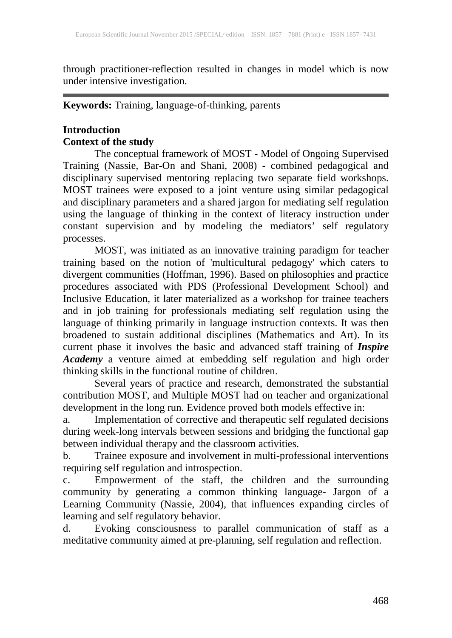through practitioner-reflection resulted in changes in model which is now under intensive investigation.

**Keywords:** Training, language-of-thinking, parents

# **Introduction Context of the study**

The conceptual framework of MOST - Model of Ongoing Supervised Training (Nassie, Bar-On and Shani, 2008) - combined pedagogical and disciplinary supervised mentoring replacing two separate field workshops. MOST trainees were exposed to a joint venture using similar pedagogical and disciplinary parameters and a shared jargon for mediating self regulation using the language of thinking in the context of literacy instruction under constant supervision and by modeling the mediators' self regulatory processes.

MOST, was initiated as an innovative training paradigm for teacher training based on the notion of 'multicultural pedagogy' which caters to divergent communities (Hoffman, 1996). Based on philosophies and practice procedures associated with PDS (Professional Development School) and Inclusive Education, it later materialized as a workshop for trainee teachers and in job training for professionals mediating self regulation using the language of thinking primarily in language instruction contexts. It was then broadened to sustain additional disciplines (Mathematics and Art). In its current phase it involves the basic and advanced staff training of *Inspire Academy* a venture aimed at embedding self regulation and high order thinking skills in the functional routine of children.

 Several years of practice and research, demonstrated the substantial contribution MOST, and Multiple MOST had on teacher and organizational development in the long run. Evidence proved both models effective in:

a. Implementation of corrective and therapeutic self regulated decisions during week-long intervals between sessions and bridging the functional gap between individual therapy and the classroom activities.

b. Trainee exposure and involvement in multi-professional interventions requiring self regulation and introspection.

c. Empowerment of the staff, the children and the surrounding community by generating a common thinking language- Jargon of a Learning Community (Nassie, 2004), that influences expanding circles of learning and self regulatory behavior.

d. Evoking consciousness to parallel communication of staff as a meditative community aimed at pre-planning, self regulation and reflection.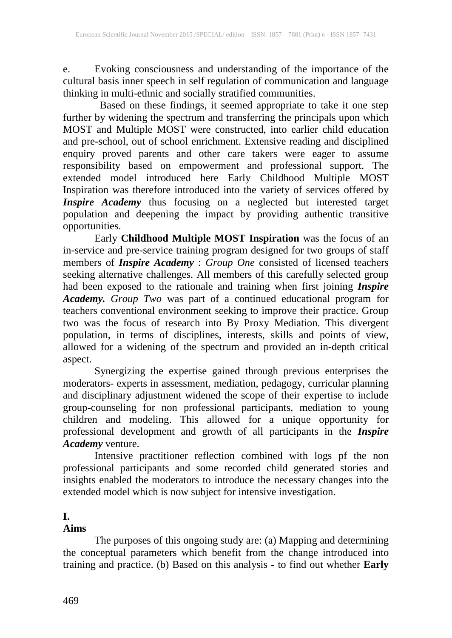e. Evoking consciousness and understanding of the importance of the cultural basis inner speech in self regulation of communication and language thinking in multi-ethnic and socially stratified communities.

 Based on these findings, it seemed appropriate to take it one step further by widening the spectrum and transferring the principals upon which MOST and Multiple MOST were constructed, into earlier child education and pre-school, out of school enrichment. Extensive reading and disciplined enquiry proved parents and other care takers were eager to assume responsibility based on empowerment and professional support. The extended model introduced here Early Childhood Multiple MOST Inspiration was therefore introduced into the variety of services offered by *Inspire Academy* thus focusing on a neglected but interested target population and deepening the impact by providing authentic transitive opportunities.

Early **Childhood Multiple MOST Inspiration** was the focus of an in-service and pre-service training program designed for two groups of staff members of *Inspire Academy* : *Group One* consisted of licensed teachers seeking alternative challenges. All members of this carefully selected group had been exposed to the rationale and training when first joining *Inspire Academy. Group Two* was part of a continued educational program for teachers conventional environment seeking to improve their practice. Group two was the focus of research into By Proxy Mediation. This divergent population, in terms of disciplines, interests, skills and points of view, allowed for a widening of the spectrum and provided an in-depth critical aspect.

Synergizing the expertise gained through previous enterprises the moderators- experts in assessment, mediation, pedagogy, curricular planning and disciplinary adjustment widened the scope of their expertise to include group-counseling for non professional participants, mediation to young children and modeling. This allowed for a unique opportunity for professional development and growth of all participants in the *Inspire Academy* venture.

Intensive practitioner reflection combined with logs pf the non professional participants and some recorded child generated stories and insights enabled the moderators to introduce the necessary changes into the extended model which is now subject for intensive investigation.

# **I.**

## **Aims**

The purposes of this ongoing study are: (a) Mapping and determining the conceptual parameters which benefit from the change introduced into training and practice. (b) Based on this analysis - to find out whether **Early**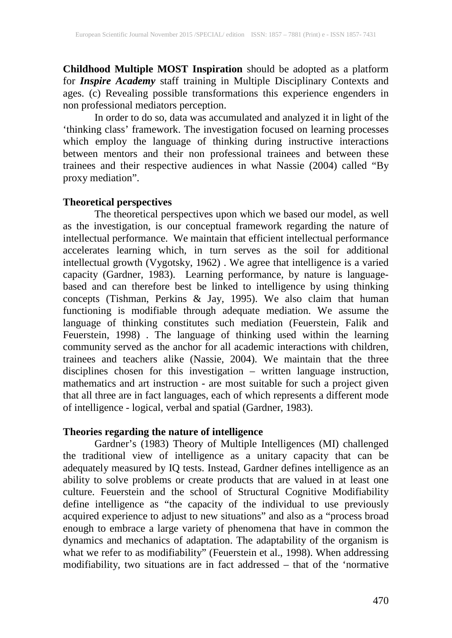**Childhood Multiple MOST Inspiration** should be adopted as a platform for *Inspire Academy* staff training in Multiple Disciplinary Contexts and ages. (c) Revealing possible transformations this experience engenders in non professional mediators perception.

In order to do so, data was accumulated and analyzed it in light of the 'thinking class' framework. The investigation focused on learning processes which employ the language of thinking during instructive interactions between mentors and their non professional trainees and between these trainees and their respective audiences in what Nassie (2004) called "By proxy mediation".

#### **Theoretical perspectives**

The theoretical perspectives upon which we based our model, as well as the investigation, is our conceptual framework regarding the nature of intellectual performance. We maintain that efficient intellectual performance accelerates learning which, in turn serves as the soil for additional intellectual growth (Vygotsky, 1962) . We agree that intelligence is a varied capacity (Gardner, 1983). Learning performance, by nature is languagebased and can therefore best be linked to intelligence by using thinking concepts (Tishman, Perkins & Jay, 1995). We also claim that human functioning is modifiable through adequate mediation. We assume the language of thinking constitutes such mediation (Feuerstein, Falik and Feuerstein, 1998) . The language of thinking used within the learning community served as the anchor for all academic interactions with children, trainees and teachers alike (Nassie, 2004). We maintain that the three disciplines chosen for this investigation – written language instruction, mathematics and art instruction - are most suitable for such a project given that all three are in fact languages, each of which represents a different mode of intelligence - logical, verbal and spatial (Gardner, 1983).

#### **Theories regarding the nature of intelligence**

Gardner's (1983) Theory of Multiple Intelligences (MI) challenged the traditional view of intelligence as a unitary capacity that can be adequately measured by IQ tests. Instead, Gardner defines intelligence as an ability to solve problems or create products that are valued in at least one culture. Feuerstein and the school of Structural Cognitive Modifiability define intelligence as "the capacity of the individual to use previously acquired experience to adjust to new situations" and also as a "process broad enough to embrace a large variety of phenomena that have in common the dynamics and mechanics of adaptation. The adaptability of the organism is what we refer to as modifiability" (Feuerstein et al., 1998). When addressing modifiability, two situations are in fact addressed – that of the 'normative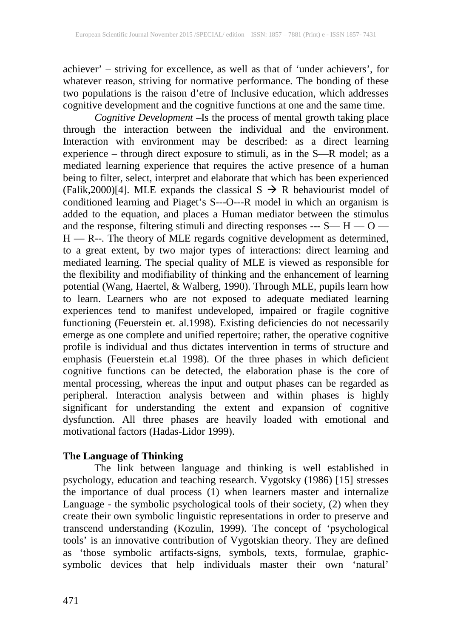achiever' – striving for excellence, as well as that of 'under achievers', for whatever reason, striving for normative performance. The bonding of these two populations is the raison d'etre of Inclusive education, which addresses cognitive development and the cognitive functions at one and the same time.

*Cognitive Development* –Is the process of mental growth taking place through the interaction between the individual and the environment. Interaction with environment may be described: as a direct learning experience – through direct exposure to stimuli, as in the S—R model; as a mediated learning experience that requires the active presence of a human being to filter, select, interpret and elaborate that which has been experienced (Falik, 2000)[4]. MLE expands the classical  $S \rightarrow R$  behaviourist model of conditioned learning and Piaget's S---O---R model in which an organism is added to the equation, and places a Human mediator between the stimulus and the response, filtering stimuli and directing responses --- S— H — O — H — R--. The theory of MLE regards cognitive development as determined, to a great extent, by two major types of interactions: direct learning and mediated learning. The special quality of MLE is viewed as responsible for the flexibility and modifiability of thinking and the enhancement of learning potential (Wang, Haertel, & Walberg, 1990). Through MLE, pupils learn how to learn. Learners who are not exposed to adequate mediated learning experiences tend to manifest undeveloped, impaired or fragile cognitive functioning (Feuerstein et. al.1998). Existing deficiencies do not necessarily emerge as one complete and unified repertoire; rather, the operative cognitive profile is individual and thus dictates intervention in terms of structure and emphasis (Feuerstein et.al 1998). Of the three phases in which deficient cognitive functions can be detected, the elaboration phase is the core of mental processing, whereas the input and output phases can be regarded as peripheral. Interaction analysis between and within phases is highly significant for understanding the extent and expansion of cognitive dysfunction. All three phases are heavily loaded with emotional and motivational factors (Hadas-Lidor 1999).

# **The Language of Thinking**

The link between language and thinking is well established in psychology, education and teaching research. Vygotsky (1986) [15] stresses the importance of dual process (1) when learners master and internalize Language - the symbolic psychological tools of their society, (2) when they create their own symbolic linguistic representations in order to preserve and transcend understanding (Kozulin, 1999). The concept of 'psychological tools' is an innovative contribution of Vygotskian theory. They are defined as 'those symbolic artifacts-signs, symbols, texts, formulae, graphicsymbolic devices that help individuals master their own 'natural'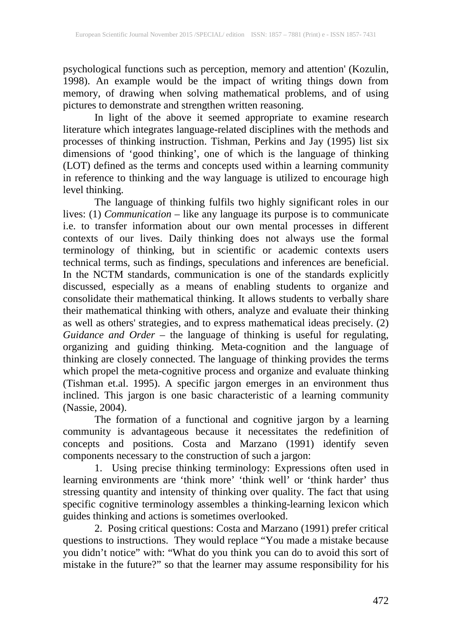psychological functions such as perception, memory and attention' (Kozulin, 1998). An example would be the impact of writing things down from memory, of drawing when solving mathematical problems, and of using pictures to demonstrate and strengthen written reasoning.

In light of the above it seemed appropriate to examine research literature which integrates language-related disciplines with the methods and processes of thinking instruction. Tishman, Perkins and Jay (1995) list six dimensions of 'good thinking', one of which is the language of thinking (LOT) defined as the terms and concepts used within a learning community in reference to thinking and the way language is utilized to encourage high level thinking.

The language of thinking fulfils two highly significant roles in our lives: (1) *Communication* – like any language its purpose is to communicate i.e. to transfer information about our own mental processes in different contexts of our lives. Daily thinking does not always use the formal terminology of thinking, but in scientific or academic contexts users technical terms, such as findings, speculations and inferences are beneficial. In the NCTM standards, communication is one of the standards explicitly discussed, especially as a means of enabling students to organize and consolidate their mathematical thinking. It allows students to verbally share their mathematical thinking with others, analyze and evaluate their thinking as well as others' strategies, and to express mathematical ideas precisely. (2) *Guidance and Order* – the language of thinking is useful for regulating, organizing and guiding thinking. Meta-cognition and the language of thinking are closely connected. The language of thinking provides the terms which propel the meta-cognitive process and organize and evaluate thinking (Tishman et.al. 1995). A specific jargon emerges in an environment thus inclined. This jargon is one basic characteristic of a learning community (Nassie, 2004).

The formation of a functional and cognitive jargon by a learning community is advantageous because it necessitates the redefinition of concepts and positions. Costa and Marzano (1991) identify seven components necessary to the construction of such a jargon:

1. Using precise thinking terminology: Expressions often used in learning environments are 'think more' 'think well' or 'think harder' thus stressing quantity and intensity of thinking over quality. The fact that using specific cognitive terminology assembles a thinking-learning lexicon which guides thinking and actions is sometimes overlooked.

2.Posing critical questions: Costa and Marzano (1991) prefer critical questions to instructions. They would replace "You made a mistake because you didn't notice" with: "What do you think you can do to avoid this sort of mistake in the future?" so that the learner may assume responsibility for his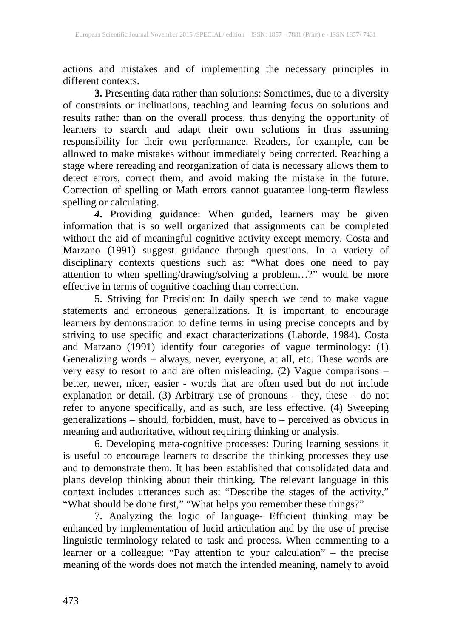actions and mistakes and of implementing the necessary principles in different contexts.

**3.** Presenting data rather than solutions: Sometimes, due to a diversity of constraints or inclinations, teaching and learning focus on solutions and results rather than on the overall process, thus denying the opportunity of learners to search and adapt their own solutions in thus assuming responsibility for their own performance. Readers, for example, can be allowed to make mistakes without immediately being corrected. Reaching a stage where rereading and reorganization of data is necessary allows them to detect errors, correct them, and avoid making the mistake in the future. Correction of spelling or Math errors cannot guarantee long-term flawless spelling or calculating.

*4***.** Providing guidance: When guided, learners may be given information that is so well organized that assignments can be completed without the aid of meaningful cognitive activity except memory. Costa and Marzano (1991) suggest guidance through questions. In a variety of disciplinary contexts questions such as: "What does one need to pay attention to when spelling/drawing/solving a problem…?" would be more effective in terms of cognitive coaching than correction.

5. Striving for Precision: In daily speech we tend to make vague statements and erroneous generalizations. It is important to encourage learners by demonstration to define terms in using precise concepts and by striving to use specific and exact characterizations (Laborde, 1984). Costa and Marzano (1991) identify four categories of vague terminology: (1) Generalizing words – always, never, everyone, at all, etc. These words are very easy to resort to and are often misleading. (2) Vague comparisons – better, newer, nicer, easier - words that are often used but do not include explanation or detail. (3) Arbitrary use of pronouns – they, these – do not refer to anyone specifically, and as such, are less effective. (4) Sweeping generalizations – should, forbidden, must, have to – perceived as obvious in meaning and authoritative, without requiring thinking or analysis.

6. Developing meta-cognitive processes: During learning sessions it is useful to encourage learners to describe the thinking processes they use and to demonstrate them. It has been established that consolidated data and plans develop thinking about their thinking. The relevant language in this context includes utterances such as: "Describe the stages of the activity," "What should be done first," "What helps you remember these things?"

7. Analyzing the logic of language- Efficient thinking may be enhanced by implementation of lucid articulation and by the use of precise linguistic terminology related to task and process. When commenting to a learner or a colleague: "Pay attention to your calculation" – the precise meaning of the words does not match the intended meaning, namely to avoid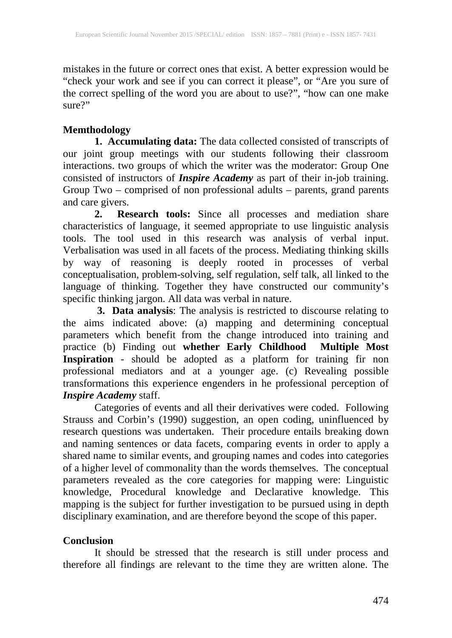mistakes in the future or correct ones that exist. A better expression would be "check your work and see if you can correct it please", or "Are you sure of the correct spelling of the word you are about to use?", "how can one make sure?"

# **Memthodology**

**1. Accumulating data:** The data collected consisted of transcripts of our joint group meetings with our students following their classroom interactions. two groups of which the writer was the moderator: Group One consisted of instructors of *Inspire Academy* as part of their in-job training. Group Two – comprised of non professional adults – parents, grand parents and care givers.

**2. Research tools:** Since all processes and mediation share characteristics of language, it seemed appropriate to use linguistic analysis tools. The tool used in this research was analysis of verbal input. Verbalisation was used in all facets of the process. Mediating thinking skills by way of reasoning is deeply rooted in processes of verbal conceptualisation, problem-solving, self regulation, self talk, all linked to the language of thinking. Together they have constructed our community's specific thinking jargon. All data was verbal in nature.

**3. Data analysis**: The analysis is restricted to discourse relating to the aims indicated above: (a) mapping and determining conceptual parameters which benefit from the change introduced into training and practice (b) Finding out **whether Early Childhood Multiple Most Inspiration** - should be adopted as a platform for training fir non professional mediators and at a younger age. (c) Revealing possible transformations this experience engenders in he professional perception of *Inspire Academy* staff.

Categories of events and all their derivatives were coded. Following Strauss and Corbin's (1990) suggestion, an open coding, uninfluenced by research questions was undertaken. Their procedure entails breaking down and naming sentences or data facets, comparing events in order to apply a shared name to similar events, and grouping names and codes into categories of a higher level of commonality than the words themselves. The conceptual parameters revealed as the core categories for mapping were: Linguistic knowledge, Procedural knowledge and Declarative knowledge. This mapping is the subject for further investigation to be pursued using in depth disciplinary examination, and are therefore beyond the scope of this paper.

## **Conclusion**

It should be stressed that the research is still under process and therefore all findings are relevant to the time they are written alone. The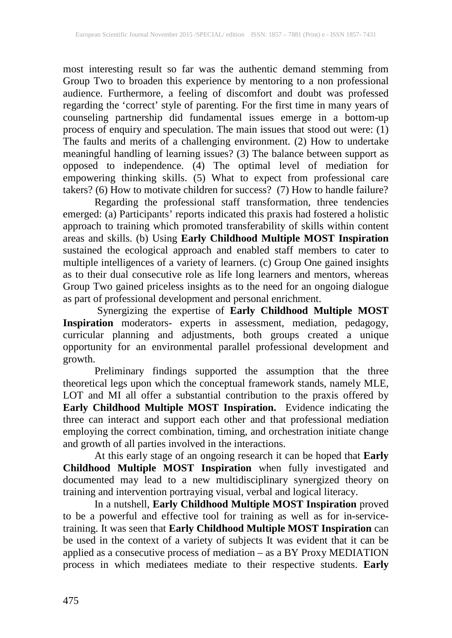most interesting result so far was the authentic demand stemming from Group Two to broaden this experience by mentoring to a non professional audience. Furthermore, a feeling of discomfort and doubt was professed regarding the 'correct' style of parenting. For the first time in many years of counseling partnership did fundamental issues emerge in a bottom-up process of enquiry and speculation. The main issues that stood out were: (1) The faults and merits of a challenging environment. (2) How to undertake meaningful handling of learning issues? (3) The balance between support as opposed to independence. (4) The optimal level of mediation for empowering thinking skills. (5) What to expect from professional care takers? (6) How to motivate children for success? (7) How to handle failure?

Regarding the professional staff transformation, three tendencies emerged: (a) Participants' reports indicated this praxis had fostered a holistic approach to training which promoted transferability of skills within content areas and skills. (b) Using **Early Childhood Multiple MOST Inspiration** sustained the ecological approach and enabled staff members to cater to multiple intelligences of a variety of learners. (c) Group One gained insights as to their dual consecutive role as life long learners and mentors, whereas Group Two gained priceless insights as to the need for an ongoing dialogue as part of professional development and personal enrichment.

Synergizing the expertise of **Early Childhood Multiple MOST Inspiration** moderators- experts in assessment, mediation, pedagogy, curricular planning and adjustments, both groups created a unique opportunity for an environmental parallel professional development and growth.

Preliminary findings supported the assumption that the three theoretical legs upon which the conceptual framework stands, namely MLE, LOT and MI all offer a substantial contribution to the praxis offered by **Early Childhood Multiple MOST Inspiration.** Evidence indicating the three can interact and support each other and that professional mediation employing the correct combination, timing, and orchestration initiate change and growth of all parties involved in the interactions.

At this early stage of an ongoing research it can be hoped that **Early Childhood Multiple MOST Inspiration** when fully investigated and documented may lead to a new multidisciplinary synergized theory on training and intervention portraying visual, verbal and logical literacy.

In a nutshell, **Early Childhood Multiple MOST Inspiration** proved to be a powerful and effective tool for training as well as for in-servicetraining. It was seen that **Early Childhood Multiple MOST Inspiration** can be used in the context of a variety of subjects It was evident that it can be applied as a consecutive process of mediation – as a BY Proxy MEDIATION process in which mediatees mediate to their respective students. **Early**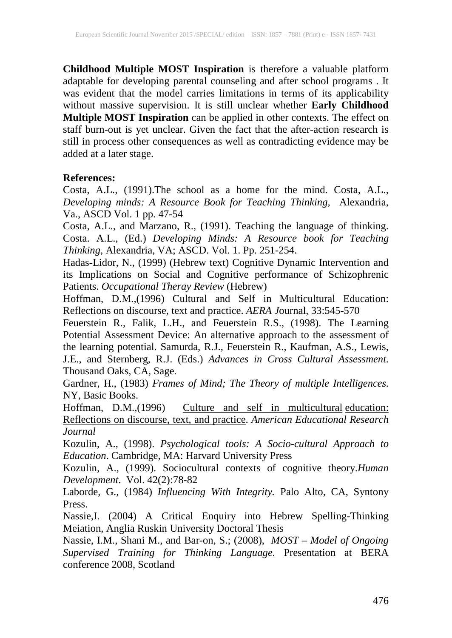**Childhood Multiple MOST Inspiration** is therefore a valuable platform adaptable for developing parental counseling and after school programs . It was evident that the model carries limitations in terms of its applicability without massive supervision. It is still unclear whether **Early Childhood Multiple MOST Inspiration** can be applied in other contexts. The effect on staff burn-out is yet unclear. Given the fact that the after-action research is still in process other consequences as well as contradicting evidence may be added at a later stage.

#### **References:**

Costa, A.L., (1991).The school as a home for the mind. Costa, A.L., *Developing minds: A Resource Book for Teaching Thinking,* Alexandria, Va., ASCD Vol. 1 pp. 47-54

Costa, A.L., and Marzano, R., (1991). Teaching the language of thinking. Costa. A.L., (Ed.) *Developing Minds: A Resource book for Teaching Thinking,* Alexandria, VA; ASCD. Vol. 1. Pp. 251-254.

Hadas-Lidor, N., (1999) (Hebrew text) Cognitive Dynamic Intervention and its Implications on Social and Cognitive performance of Schizophrenic Patients. *Occupational Theray Review* (Hebrew)

Hoffman, D.M.,(1996) Cultural and Self in Multicultural Education: Reflections on discourse, text and practice. *AERA J*ournal, 33:545-570

Feuerstein R., Falik, L.H., and Feuerstein R.S., (1998). The Learning Potential Assessment Device: An alternative approach to the assessment of the learning potential. Samurda, R.J., Feuerstein R., Kaufman, A.S., Lewis, J.E., and Sternberg, R.J. (Eds.) *Advances in Cross Cultural Assessment.* Thousand Oaks, CA, Sage.

Gardner, H., (1983) *Frames of Mind; The Theory of multiple Intelligences.* NY, Basic Books.

Hoffman, D.M.,(1996) [Culture and self in multicultural](http://aer.sagepub.com/content/33/3/545.short) education: [Reflections on discourse, text, and practice.](http://aer.sagepub.com/content/33/3/545.short) *American Educational Research Journal*

Kozulin, A., (1998). *Psychological tools: A Socio-cultural Approach to Education*. Cambridge, MA: Harvard University Press

Kozulin, A., (1999). Sociocultural contexts of cognitive theory.*Human Development*. Vol. 42(2):78-82

Laborde, G., (1984) *Influencing With Integrity.* Palo Alto, CA, Syntony Press.

Nassie,I. (2004) A Critical Enquiry into Hebrew Spelling-Thinking Meiation, Anglia Ruskin University Doctoral Thesis

Nassie, I.M., Shani M., and Bar-on, S.; (2008), *MOST – Model of Ongoing Supervised Training for Thinking Language*. Presentation at BERA conference 2008, Scotland